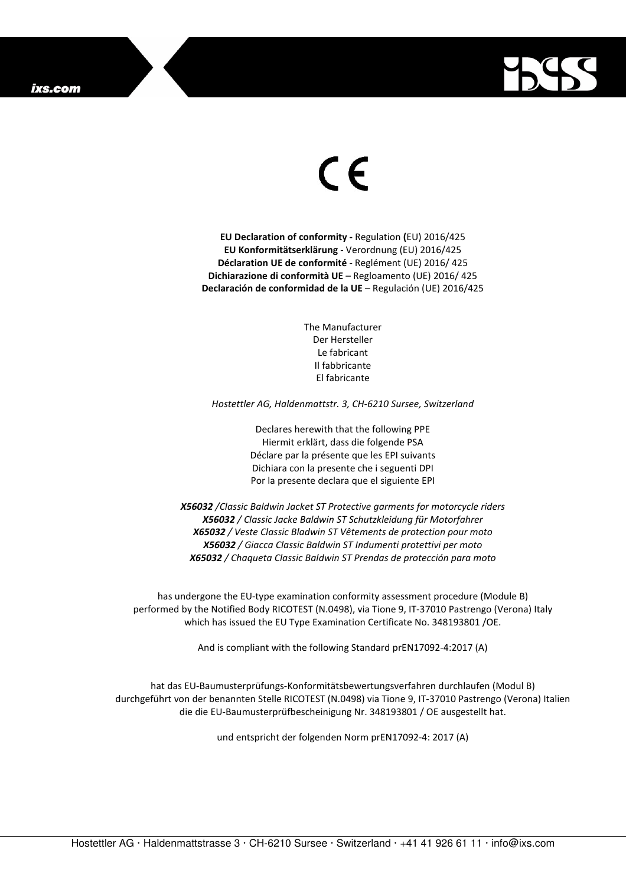

## $\epsilon$

**EU Declaration of conformity -** Regulation **(**EU) 2016/425 **EU Konformitätserklärung** - Verordnung (EU) 2016/425 **Déclaration UE de conformité** - Reglément (UE) 2016/ 425 **Dichiarazione di conformità UE** – Regloamento (UE) 2016/ 425 **Declaración de conformidad de la UE** – Regulación (UE) 2016/425

> The Manufacturer Der Hersteller Le fabricant Il fabbricante El fabricante

*Hostettler AG, Haldenmattstr. 3, CH-6210 Sursee, Switzerland* 

Declares herewith that the following PPE Hiermit erklärt, dass die folgende PSA Déclare par la présente que les EPI suivants Dichiara con la presente che i seguenti DPI Por la presente declara que el siguiente EPI

*X56032 /Classic Baldwin Jacket ST Protective garments for motorcycle riders X56032 / Classic Jacke Baldwin ST Schutzkleidung für Motorfahrer X65032 / Veste Classic Bladwin ST Vêtements de protection pour moto X56032 / Giacca Classic Baldwin ST Indumenti protettivi per moto X65032 / Chaqueta Classic Baldwin ST Prendas de protección para moto* 

has undergone the EU-type examination conformity assessment procedure (Module B) performed by the Notified Body RICOTEST (N.0498), via Tione 9, IT-37010 Pastrengo (Verona) Italy which has issued the EU Type Examination Certificate No. 348193801 /OE.

And is compliant with the following Standard prEN17092-4:2017 (A)

hat das EU-Baumusterprüfungs-Konformitätsbewertungsverfahren durchlaufen (Modul B) durchgeführt von der benannten Stelle RICOTEST (N.0498) via Tione 9, IT-37010 Pastrengo (Verona) Italien die die EU-Baumusterprüfbescheinigung Nr. 348193801 / OE ausgestellt hat.

und entspricht der folgenden Norm prEN17092-4: 2017 (A)